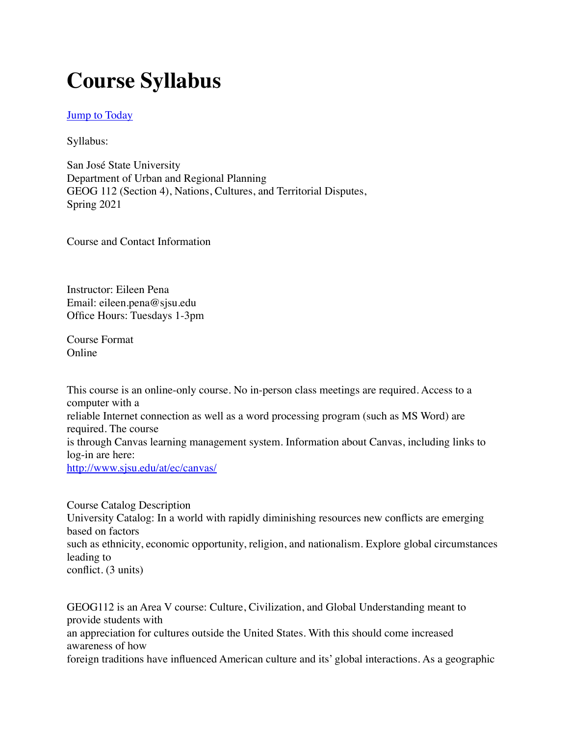# **Course Syllabus**

#### **[Jump to Today](https://sjsu.instructure.com/courses/1419995/assignments/syllabus#)**

Syllabus:

San José State University Department of Urban and Regional Planning GEOG 112 (Section 4), Nations, Cultures, and Territorial Disputes, Spring 2021

Course and Contact Information

Instructor: Eileen Pena Email: eileen.pena@sjsu.edu Office Hours: Tuesdays 1-3pm

Course Format Online

This course is an online-only course. No in-person class meetings are required. Access to a computer with a reliable Internet connection as well as a word processing program (such as MS Word) are required. The course is through Canvas learning management system. Information about Canvas, including links to log-in are here: <http://www.sjsu.edu/at/ec/canvas/>

Course Catalog Description University Catalog: In a world with rapidly diminishing resources new conflicts are emerging based on factors such as ethnicity, economic opportunity, religion, and nationalism. Explore global circumstances leading to conflict. (3 units)

GEOG112 is an Area V course: Culture, Civilization, and Global Understanding meant to provide students with an appreciation for cultures outside the United States. With this should come increased awareness of how foreign traditions have influenced American culture and its' global interactions. As a geographic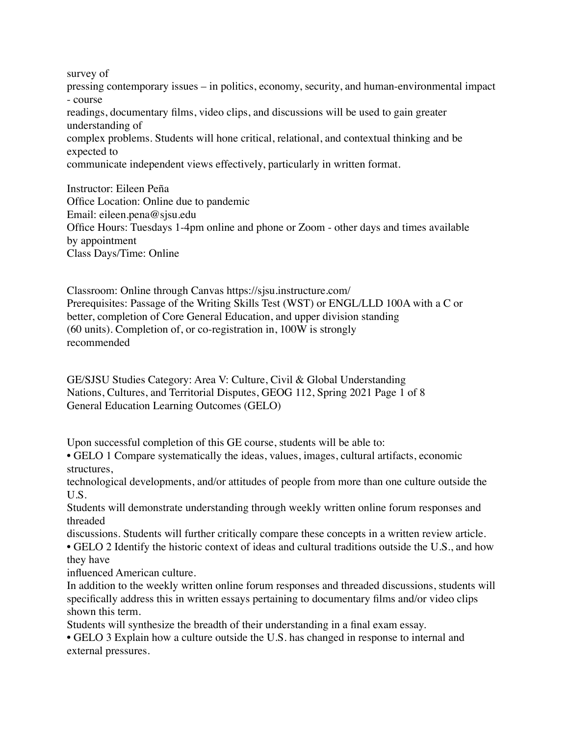survey of pressing contemporary issues – in politics, economy, security, and human-environmental impact - course readings, documentary films, video clips, and discussions will be used to gain greater understanding of complex problems. Students will hone critical, relational, and contextual thinking and be expected to communicate independent views effectively, particularly in written format.

Instructor: Eileen Peña Office Location: Online due to pandemic Email: eileen.pena@sjsu.edu Office Hours: Tuesdays 1-4pm online and phone or Zoom - other days and times available by appointment Class Days/Time: Online

Classroom: Online through Canvas https://sjsu.instructure.com/ Prerequisites: Passage of the Writing Skills Test (WST) or ENGL/LLD 100A with a C or better, completion of Core General Education, and upper division standing (60 units). Completion of, or co-registration in, 100W is strongly recommended

GE/SJSU Studies Category: Area V: Culture, Civil & Global Understanding Nations, Cultures, and Territorial Disputes, GEOG 112, Spring 2021 Page 1 of 8 General Education Learning Outcomes (GELO)

Upon successful completion of this GE course, students will be able to:

• GELO 1 Compare systematically the ideas, values, images, cultural artifacts, economic structures,

technological developments, and/or attitudes of people from more than one culture outside the U.S.

Students will demonstrate understanding through weekly written online forum responses and threaded

discussions. Students will further critically compare these concepts in a written review article. • GELO 2 Identify the historic context of ideas and cultural traditions outside the U.S., and how they have

influenced American culture.

In addition to the weekly written online forum responses and threaded discussions, students will specifically address this in written essays pertaining to documentary films and/or video clips shown this term.

Students will synthesize the breadth of their understanding in a final exam essay.

• GELO 3 Explain how a culture outside the U.S. has changed in response to internal and external pressures.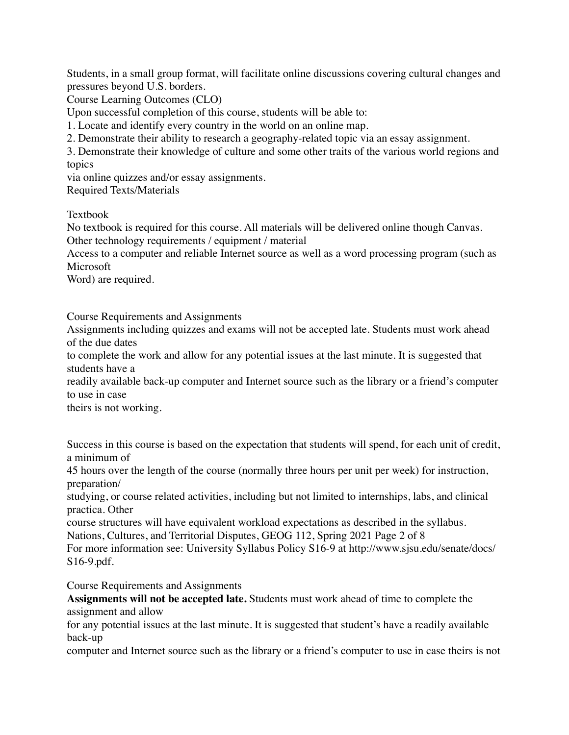Students, in a small group format, will facilitate online discussions covering cultural changes and pressures beyond U.S. borders.

Course Learning Outcomes (CLO)

Upon successful completion of this course, students will be able to:

1. Locate and identify every country in the world on an online map.

2. Demonstrate their ability to research a geography-related topic via an essay assignment.

3. Demonstrate their knowledge of culture and some other traits of the various world regions and topics

via online quizzes and/or essay assignments.

Required Texts/Materials

Textbook

No textbook is required for this course. All materials will be delivered online though Canvas. Other technology requirements / equipment / material

Access to a computer and reliable Internet source as well as a word processing program (such as Microsoft

Word) are required.

Course Requirements and Assignments

Assignments including quizzes and exams will not be accepted late. Students must work ahead of the due dates

to complete the work and allow for any potential issues at the last minute. It is suggested that students have a

readily available back-up computer and Internet source such as the library or a friend's computer to use in case

theirs is not working.

Success in this course is based on the expectation that students will spend, for each unit of credit, a minimum of

45 hours over the length of the course (normally three hours per unit per week) for instruction, preparation/

studying, or course related activities, including but not limited to internships, labs, and clinical practica. Other

course structures will have equivalent workload expectations as described in the syllabus. Nations, Cultures, and Territorial Disputes, GEOG 112, Spring 2021 Page 2 of 8

For more information see: University Syllabus Policy S16-9 at http://www.sjsu.edu/senate/docs/ S16-9.pdf.

Course Requirements and Assignments

**Assignments will not be accepted late.** Students must work ahead of time to complete the assignment and allow

for any potential issues at the last minute. It is suggested that student's have a readily available back-up

computer and Internet source such as the library or a friend's computer to use in case theirs is not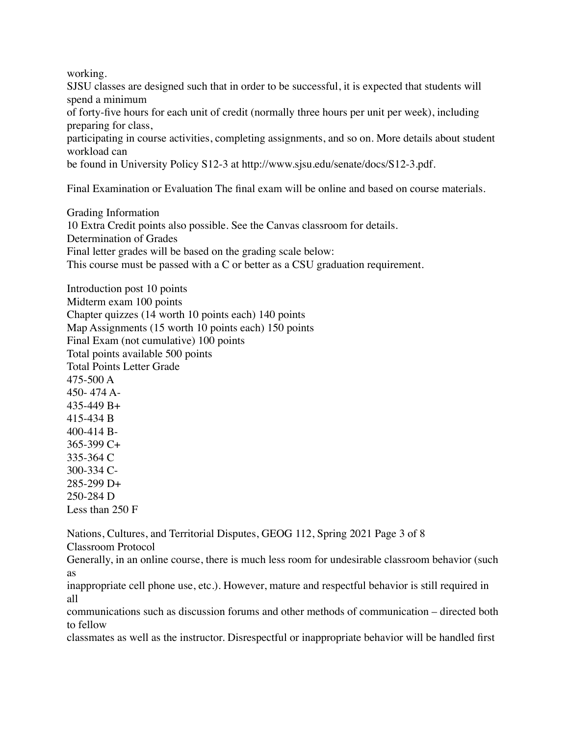working.

SJSU classes are designed such that in order to be successful, it is expected that students will spend a minimum

of forty-five hours for each unit of credit (normally three hours per unit per week), including preparing for class,

participating in course activities, completing assignments, and so on. More details about student workload can

be found in University Policy S12-3 at http://www.sjsu.edu/senate/docs/S12-3.pdf.

Final Examination or Evaluation The final exam will be online and based on course materials.

Grading Information 10 Extra Credit points also possible. See the Canvas classroom for details. Determination of Grades Final letter grades will be based on the grading scale below: This course must be passed with a C or better as a CSU graduation requirement.

Introduction post 10 points Midterm exam 100 points Chapter quizzes (14 worth 10 points each) 140 points Map Assignments (15 worth 10 points each) 150 points Final Exam (not cumulative) 100 points Total points available 500 points Total Points Letter Grade 475-500 A 450- 474 A-435-449 B+ 415-434 B 400-414 B-365-399 C+ 335-364 C 300-334 C-285-299 D+ 250-284 D Less than 250 F

Nations, Cultures, and Territorial Disputes, GEOG 112, Spring 2021 Page 3 of 8 Classroom Protocol

Generally, in an online course, there is much less room for undesirable classroom behavior (such as

inappropriate cell phone use, etc.). However, mature and respectful behavior is still required in all

communications such as discussion forums and other methods of communication – directed both to fellow

classmates as well as the instructor. Disrespectful or inappropriate behavior will be handled first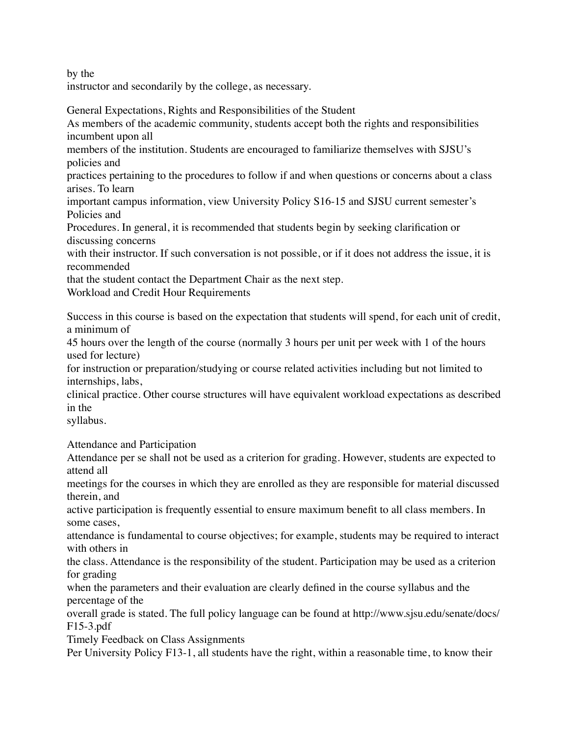by the

instructor and secondarily by the college, as necessary.

General Expectations, Rights and Responsibilities of the Student As members of the academic community, students accept both the rights and responsibilities incumbent upon all

members of the institution. Students are encouraged to familiarize themselves with SJSU's policies and

practices pertaining to the procedures to follow if and when questions or concerns about a class arises. To learn

important campus information, view University Policy S16-15 and SJSU current semester's Policies and

Procedures. In general, it is recommended that students begin by seeking clarification or discussing concerns

with their instructor. If such conversation is not possible, or if it does not address the issue, it is recommended

that the student contact the Department Chair as the next step.

Workload and Credit Hour Requirements

Success in this course is based on the expectation that students will spend, for each unit of credit, a minimum of

45 hours over the length of the course (normally 3 hours per unit per week with 1 of the hours used for lecture)

for instruction or preparation/studying or course related activities including but not limited to internships, labs,

clinical practice. Other course structures will have equivalent workload expectations as described in the

syllabus.

Attendance and Participation

Attendance per se shall not be used as a criterion for grading. However, students are expected to attend all

meetings for the courses in which they are enrolled as they are responsible for material discussed therein, and

active participation is frequently essential to ensure maximum benefit to all class members. In some cases,

attendance is fundamental to course objectives; for example, students may be required to interact with others in

the class. Attendance is the responsibility of the student. Participation may be used as a criterion for grading

when the parameters and their evaluation are clearly defined in the course syllabus and the percentage of the

overall grade is stated. The full policy language can be found at http://www.sjsu.edu/senate/docs/ F15-3.pdf

Timely Feedback on Class Assignments

Per University Policy F13-1, all students have the right, within a reasonable time, to know their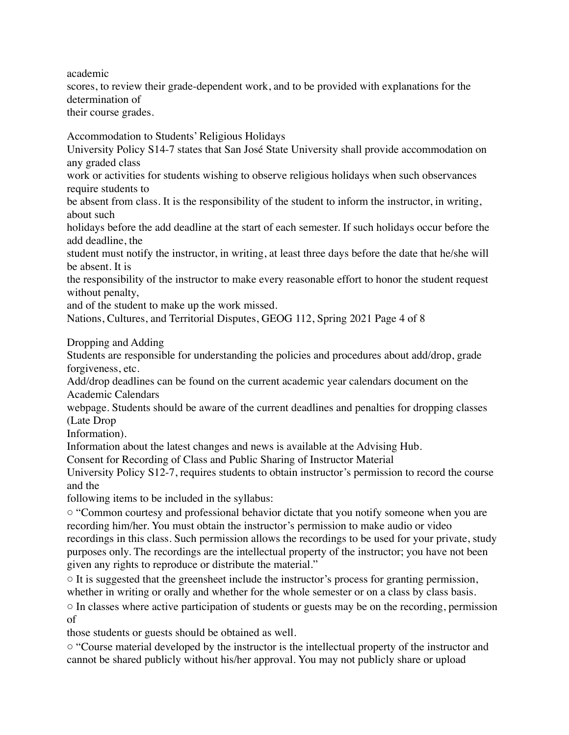academic scores, to review their grade-dependent work, and to be provided with explanations for the determination of their course grades.

Accommodation to Students' Religious Holidays

University Policy S14-7 states that San José State University shall provide accommodation on any graded class

work or activities for students wishing to observe religious holidays when such observances require students to

be absent from class. It is the responsibility of the student to inform the instructor, in writing, about such

holidays before the add deadline at the start of each semester. If such holidays occur before the add deadline, the

student must notify the instructor, in writing, at least three days before the date that he/she will be absent. It is

the responsibility of the instructor to make every reasonable effort to honor the student request without penalty,

and of the student to make up the work missed.

Nations, Cultures, and Territorial Disputes, GEOG 112, Spring 2021 Page 4 of 8

Dropping and Adding

Students are responsible for understanding the policies and procedures about add/drop, grade forgiveness, etc.

Add/drop deadlines can be found on the current academic year calendars document on the Academic Calendars

webpage. Students should be aware of the current deadlines and penalties for dropping classes (Late Drop

Information).

Information about the latest changes and news is available at the Advising Hub.

Consent for Recording of Class and Public Sharing of Instructor Material

University Policy S12-7, requires students to obtain instructor's permission to record the course and the

following items to be included in the syllabus:

◦ "Common courtesy and professional behavior dictate that you notify someone when you are recording him/her. You must obtain the instructor's permission to make audio or video recordings in this class. Such permission allows the recordings to be used for your private, study purposes only. The recordings are the intellectual property of the instructor; you have not been given any rights to reproduce or distribute the material."

 $\circ$  It is suggested that the greensheet include the instructor's process for granting permission, whether in writing or orally and whether for the whole semester or on a class by class basis.

◦ In classes where active participation of students or guests may be on the recording, permission of

those students or guests should be obtained as well.

◦ "Course material developed by the instructor is the intellectual property of the instructor and cannot be shared publicly without his/her approval. You may not publicly share or upload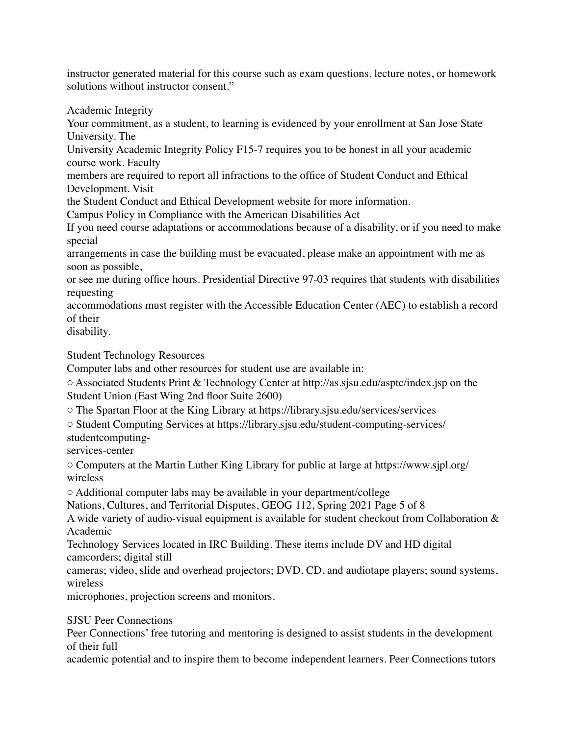instructor generated material for this course such as exam questions, lecture notes, or homework solutions without instructor consent."

Academic Integrity

Your commitment, as a student, to learning is evidenced by your enrollment at San Jose State University. The

University Academic Integrity Policy F15-7 requires you to be honest in all your academic course work. Faculty

members are required to report all infractions to the office of Student Conduct and Ethical Development. Visit

the Student Conduct and Ethical Development website for more information.

Campus Policy in Compliance with the American Disabilities Act

If you need course adaptations or accommodations because of a disability, or if you need to make special

arrangements in case the building must be evacuated, please make an appointment with me as soon as possible,

or see me during office hours. Presidential Directive 97-03 requires that students with disabilities requesting

accommodations must register with the Accessible Education Center (AEC) to establish a record of their

disability.

Student Technology Resources

Computer labs and other resources for student use are available in:

◦ Associated Students Print & Technology Center at http://as.sjsu.edu/asptc/index.jsp on the Student Union (East Wing 2nd floor Suite 2600)

◦ The Spartan Floor at the King Library at https://library.sjsu.edu/services/services

◦ Student Computing Services at https://library.sjsu.edu/student-computing-services/

studentcomputing-

services-center

◦ Computers at the Martin Luther King Library for public at large at https://www.sjpl.org/ wireless

◦ Additional computer labs may be available in your department/college

Nations, Cultures, and Territorial Disputes, GEOG 112, Spring 2021 Page 5 of 8

A wide variety of audio-visual equipment is available for student checkout from Collaboration & Academic

Technology Services located in IRC Building. These items include DV and HD digital camcorders; digital still

cameras; video, slide and overhead projectors; DVD, CD, and audiotape players; sound systems, wireless

microphones, projection screens and monitors.

### SJSU Peer Connections

Peer Connections' free tutoring and mentoring is designed to assist students in the development of their full

academic potential and to inspire them to become independent learners. Peer Connections tutors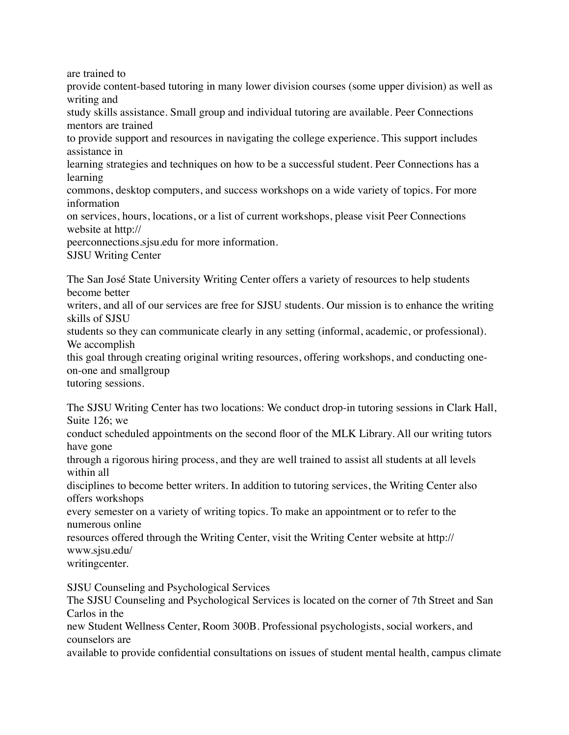are trained to

provide content-based tutoring in many lower division courses (some upper division) as well as writing and

study skills assistance. Small group and individual tutoring are available. Peer Connections mentors are trained

to provide support and resources in navigating the college experience. This support includes assistance in

learning strategies and techniques on how to be a successful student. Peer Connections has a learning

commons, desktop computers, and success workshops on a wide variety of topics. For more information

on services, hours, locations, or a list of current workshops, please visit Peer Connections website at http://

peerconnections.sjsu.edu for more information.

SJSU Writing Center

The San José State University Writing Center offers a variety of resources to help students become better

writers, and all of our services are free for SJSU students. Our mission is to enhance the writing skills of SJSU

students so they can communicate clearly in any setting (informal, academic, or professional). We accomplish

this goal through creating original writing resources, offering workshops, and conducting oneon-one and smallgroup

tutoring sessions.

The SJSU Writing Center has two locations: We conduct drop-in tutoring sessions in Clark Hall, Suite 126; we

conduct scheduled appointments on the second floor of the MLK Library. All our writing tutors have gone

through a rigorous hiring process, and they are well trained to assist all students at all levels within all

disciplines to become better writers. In addition to tutoring services, the Writing Center also offers workshops

every semester on a variety of writing topics. To make an appointment or to refer to the numerous online

resources offered through the Writing Center, visit the Writing Center website at http:// www.sjsu.edu/

writingcenter.

SJSU Counseling and Psychological Services

The SJSU Counseling and Psychological Services is located on the corner of 7th Street and San Carlos in the

new Student Wellness Center, Room 300B. Professional psychologists, social workers, and counselors are

available to provide confidential consultations on issues of student mental health, campus climate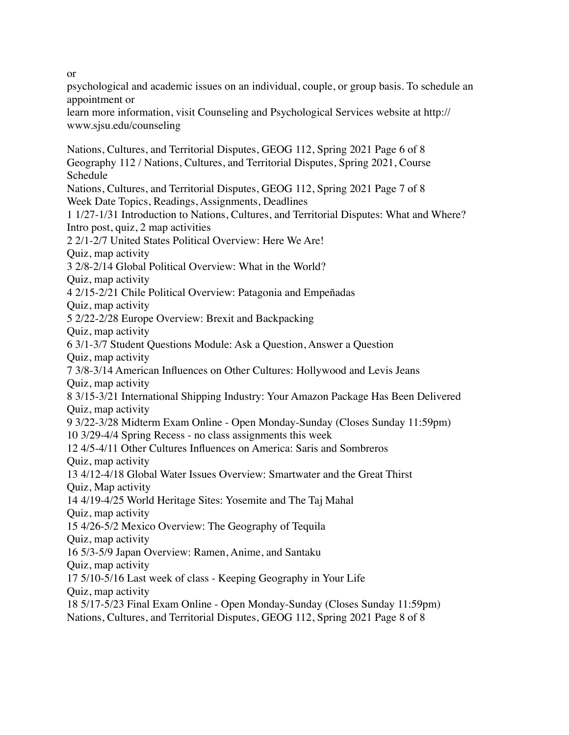or

psychological and academic issues on an individual, couple, or group basis. To schedule an appointment or

learn more information, visit Counseling and Psychological Services website at http:// www.sjsu.edu/counseling

Nations, Cultures, and Territorial Disputes, GEOG 112, Spring 2021 Page 6 of 8 Geography 112 / Nations, Cultures, and Territorial Disputes, Spring 2021, Course Schedule Nations, Cultures, and Territorial Disputes, GEOG 112, Spring 2021 Page 7 of 8 Week Date Topics, Readings, Assignments, Deadlines 1 1/27-1/31 Introduction to Nations, Cultures, and Territorial Disputes: What and Where? Intro post, quiz, 2 map activities 2 2/1-2/7 United States Political Overview: Here We Are! Quiz, map activity 3 2/8-2/14 Global Political Overview: What in the World? Quiz, map activity 4 2/15-2/21 Chile Political Overview: Patagonia and Empeñadas Quiz, map activity 5 2/22-2/28 Europe Overview: Brexit and Backpacking Quiz, map activity 6 3/1-3/7 Student Questions Module: Ask a Question, Answer a Question Quiz, map activity 7 3/8-3/14 American Influences on Other Cultures: Hollywood and Levis Jeans Quiz, map activity 8 3/15-3/21 International Shipping Industry: Your Amazon Package Has Been Delivered Quiz, map activity 9 3/22-3/28 Midterm Exam Online - Open Monday-Sunday (Closes Sunday 11:59pm) 10 3/29-4/4 Spring Recess - no class assignments this week 12 4/5-4/11 Other Cultures Influences on America: Saris and Sombreros Quiz, map activity 13 4/12-4/18 Global Water Issues Overview: Smartwater and the Great Thirst Quiz, Map activity 14 4/19-4/25 World Heritage Sites: Yosemite and The Taj Mahal Quiz, map activity 15 4/26-5/2 Mexico Overview: The Geography of Tequila Quiz, map activity 16 5/3-5/9 Japan Overview: Ramen, Anime, and Santaku Quiz, map activity 17 5/10-5/16 Last week of class - Keeping Geography in Your Life Quiz, map activity 18 5/17-5/23 Final Exam Online - Open Monday-Sunday (Closes Sunday 11:59pm) Nations, Cultures, and Territorial Disputes, GEOG 112, Spring 2021 Page 8 of 8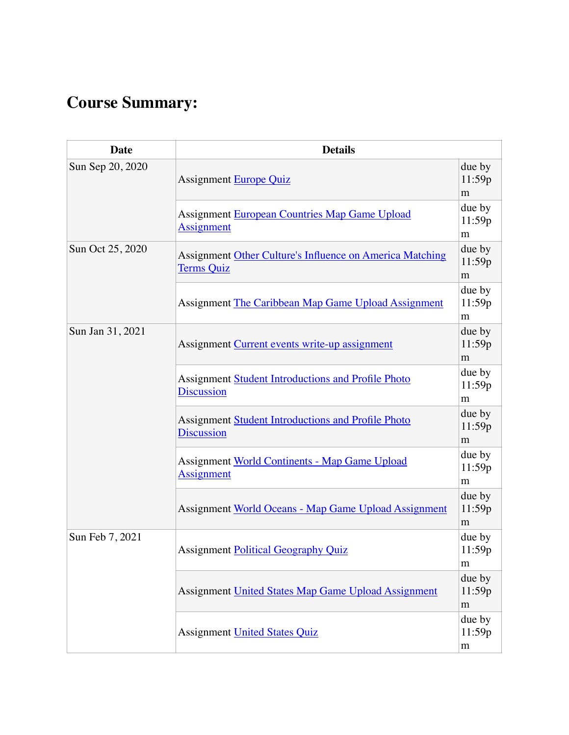## **Course Summary:**

| <b>Date</b>      | <b>Details</b>                                                                       |                       |  |  |  |  |
|------------------|--------------------------------------------------------------------------------------|-----------------------|--|--|--|--|
| Sun Sep 20, 2020 | <b>Assignment Europe Quiz</b>                                                        |                       |  |  |  |  |
|                  | <b>Assignment European Countries Map Game Upload</b><br>Assignment                   | due by<br>11:59p<br>m |  |  |  |  |
| Sun Oct 25, 2020 | <b>Assignment Other Culture's Influence on America Matching</b><br><b>Terms Quiz</b> | due by<br>11:59p<br>m |  |  |  |  |
|                  | Assignment The Caribbean Map Game Upload Assignment                                  | due by<br>11:59p<br>m |  |  |  |  |
| Sun Jan 31, 2021 | Assignment Current events write-up assignment                                        | due by<br>11:59p<br>m |  |  |  |  |
|                  | <b>Assignment Student Introductions and Profile Photo</b><br><b>Discussion</b>       | due by<br>11:59p<br>m |  |  |  |  |
|                  | Assignment Student Introductions and Profile Photo<br><b>Discussion</b>              | due by<br>11:59p<br>m |  |  |  |  |
|                  | <b>Assignment World Continents - Map Game Upload</b><br><b>Assignment</b>            | due by<br>11:59p<br>m |  |  |  |  |
|                  | Assignment World Oceans - Map Game Upload Assignment                                 | due by<br>11:59p<br>m |  |  |  |  |
| Sun Feb 7, 2021  | <b>Assignment Political Geography Quiz</b>                                           | due by<br>11:59p<br>m |  |  |  |  |
|                  | Assignment United States Map Game Upload Assignment                                  | due by<br>11:59p<br>m |  |  |  |  |
|                  | <b>Assignment United States Quiz</b>                                                 | due by<br>11:59p<br>m |  |  |  |  |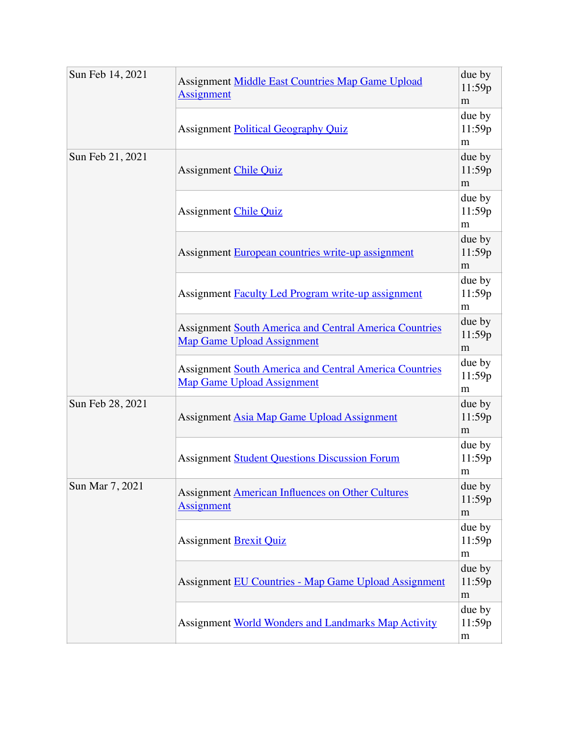| Sun Feb 14, 2021 | Assignment Middle East Countries Map Game Upload<br><b>Assignment</b>                              |                       |  |  |  |
|------------------|----------------------------------------------------------------------------------------------------|-----------------------|--|--|--|
|                  | <b>Assignment Political Geography Quiz</b>                                                         |                       |  |  |  |
| Sun Feb 21, 2021 | <b>Assignment Chile Quiz</b>                                                                       |                       |  |  |  |
|                  | <b>Assignment Chile Quiz</b>                                                                       | due by<br>11:59p<br>m |  |  |  |
|                  | Assignment European countries write-up assignment                                                  | due by<br>11:59p<br>m |  |  |  |
|                  | Assignment Faculty Led Program write-up assignment                                                 |                       |  |  |  |
|                  | <b>Assignment South America and Central America Countries</b><br><b>Map Game Upload Assignment</b> |                       |  |  |  |
|                  | <b>Assignment South America and Central America Countries</b><br><b>Map Game Upload Assignment</b> |                       |  |  |  |
| Sun Feb 28, 2021 | Assignment Asia Map Game Upload Assignment                                                         |                       |  |  |  |
|                  | <b>Assignment Student Questions Discussion Forum</b>                                               | due by<br>11:59p<br>m |  |  |  |
| Sun Mar 7, 2021  | <b>Assignment American Influences on Other Cultures</b><br><b>Assignment</b>                       |                       |  |  |  |
|                  | <b>Assignment Brexit Quiz</b>                                                                      | due by<br>11:59p<br>m |  |  |  |
|                  | <b>Assignment EU Countries - Map Game Upload Assignment</b>                                        | due by<br>11:59p<br>m |  |  |  |
|                  | <b>Assignment World Wonders and Landmarks Map Activity</b>                                         | due by<br>11:59p<br>m |  |  |  |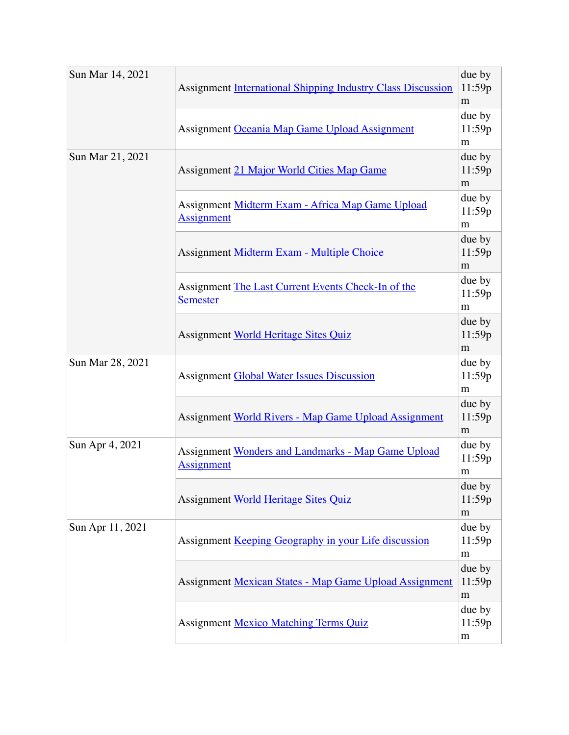| Sun Mar 14, 2021 | <b>Assignment International Shipping Industry Class Discussion</b>      |                       |  |
|------------------|-------------------------------------------------------------------------|-----------------------|--|
|                  | Assignment Oceania Map Game Upload Assignment                           | due by<br>11:59p<br>m |  |
| Sun Mar 21, 2021 | due by<br>Assignment 21 Major World Cities Map Game<br>11:59p           |                       |  |
|                  | Assignment Midterm Exam - Africa Map Game Upload<br><b>Assignment</b>   | due by<br>11:59p<br>m |  |
|                  | Assignment Midterm Exam - Multiple Choice                               | due by<br>11:59p<br>m |  |
|                  | Assignment The Last Current Events Check-In of the<br><b>Semester</b>   | due by<br>11:59p<br>m |  |
|                  | <b>Assignment World Heritage Sites Quiz</b>                             | due by<br>11:59p<br>m |  |
| Sun Mar 28, 2021 | <b>Assignment Global Water Issues Discussion</b>                        | due by<br>11:59p<br>m |  |
|                  | Assignment World Rivers - Map Game Upload Assignment                    | due by<br>11:59p<br>m |  |
| Sun Apr 4, 2021  | Assignment Wonders and Landmarks - Map Game Upload<br><b>Assignment</b> | due by<br>11:59p<br>m |  |
|                  | <b>Assignment World Heritage Sites Quiz</b>                             | due by<br>11:59p<br>m |  |
| Sun Apr 11, 2021 | Assignment Keeping Geography in your Life discussion                    |                       |  |
|                  | <b>Assignment Mexican States - Map Game Upload Assignment</b>           | due by<br>11:59p<br>m |  |
|                  | <b>Assignment Mexico Matching Terms Quiz</b>                            | due by<br>11:59p<br>m |  |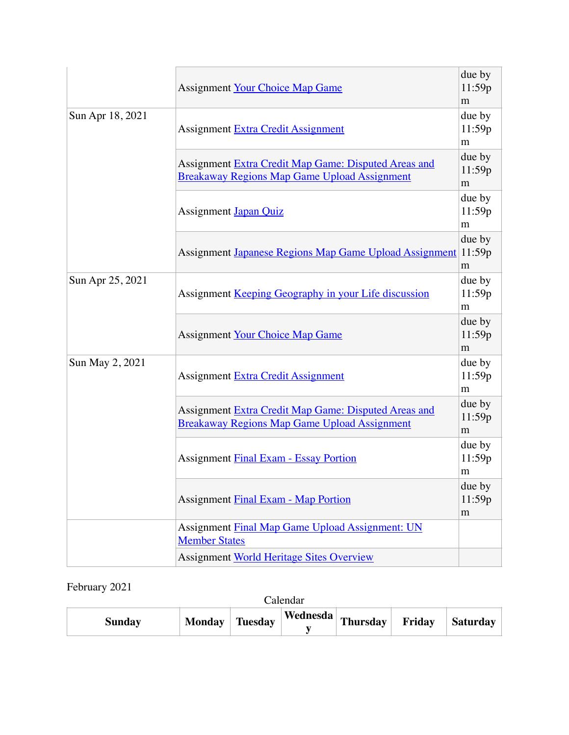|                  | <b>Assignment Your Choice Map Game</b>                                                                      | due by<br>11:59p<br>m |
|------------------|-------------------------------------------------------------------------------------------------------------|-----------------------|
| Sun Apr 18, 2021 | due by<br>11:59p<br>Assignment Extra Credit Assignment<br>m                                                 |                       |
|                  | Assignment Extra Credit Map Game: Disputed Areas and<br>Breakaway Regions Map Game Upload Assignment        | due by<br>11:59p<br>m |
|                  | <b>Assignment Japan Quiz</b>                                                                                | due by<br>11:59p<br>m |
|                  | Assignment Japanese Regions Map Game Upload Assignment 11:59p                                               | due by<br>m           |
| Sun Apr 25, 2021 | Assignment Keeping Geography in your Life discussion                                                        | due by<br>11:59p<br>m |
|                  | <b>Assignment Your Choice Map Game</b>                                                                      | due by<br>11:59p<br>m |
| Sun May 2, 2021  | due by<br>11:59p<br><b>Assignment Extra Credit Assignment</b><br>m                                          |                       |
|                  | Assignment Extra Credit Map Game: Disputed Areas and<br><b>Breakaway Regions Map Game Upload Assignment</b> | due by<br>11:59p<br>m |
|                  | <b>Assignment Final Exam - Essay Portion</b>                                                                | due by<br>11:59p<br>m |
|                  | <b>Assignment Final Exam - Map Portion</b>                                                                  | due by<br>11:59p<br>m |
|                  | Assignment Final Map Game Upload Assignment: UN<br><b>Member States</b>                                     |                       |
|                  | Assignment World Heritage Sites Overview                                                                    |                       |

### February 2021

| Calendar      |                |  |                          |  |        |          |
|---------------|----------------|--|--------------------------|--|--------|----------|
| <b>Sunday</b> | Monday Tuesday |  | Wednesda Thursday Friend |  | Friday | Saturday |